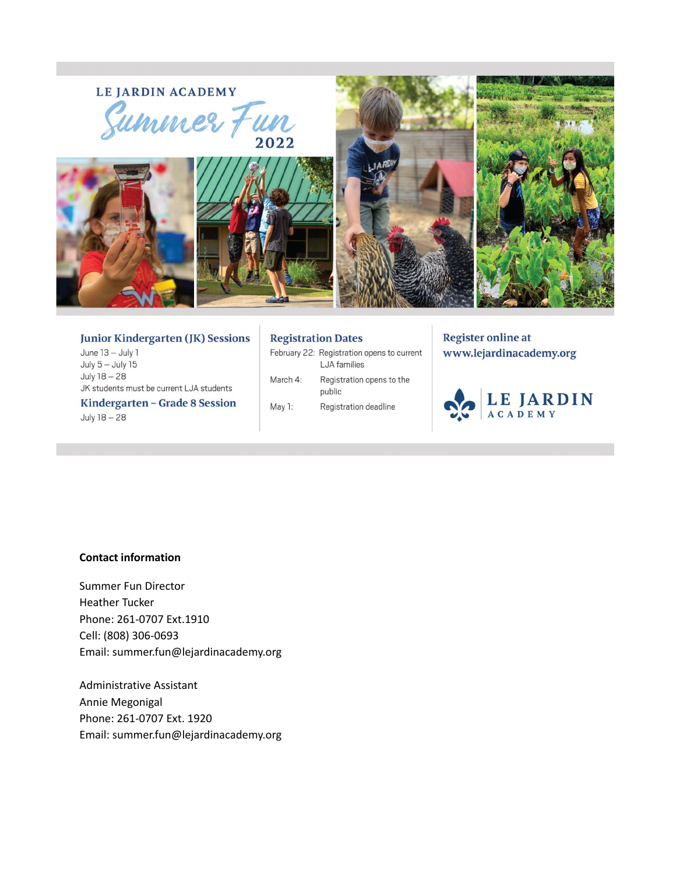# LE JARDIN ACADEMY EJARDIN ACADEMY<br>Summer Fun









#### **Junior Kindergarten (JK) Sessions**

June 13 - July 1 July  $5 -$  July  $15$ July 18 - 28 JK students must be current LJA students

Kindergarten - Grade 8 Session July 18 - 28

#### **Registration Dates**

February 22: Registration opens to current LJA families March 4: Registration opens to the

public May 1: Registration deadline

# **Register online at** www.lejardinacademy.org



#### **Contact information**

Summer Fun Director Heather Tucker Phone: 261-0707 Ext.1910 Cell: (808) 306-0693 Email: summer.fun@lejardinacademy.org

Administrative Assistant Annie Megonigal Phone: 261-0707 Ext. 1920 Email: summer.fun@lejardinacademy.org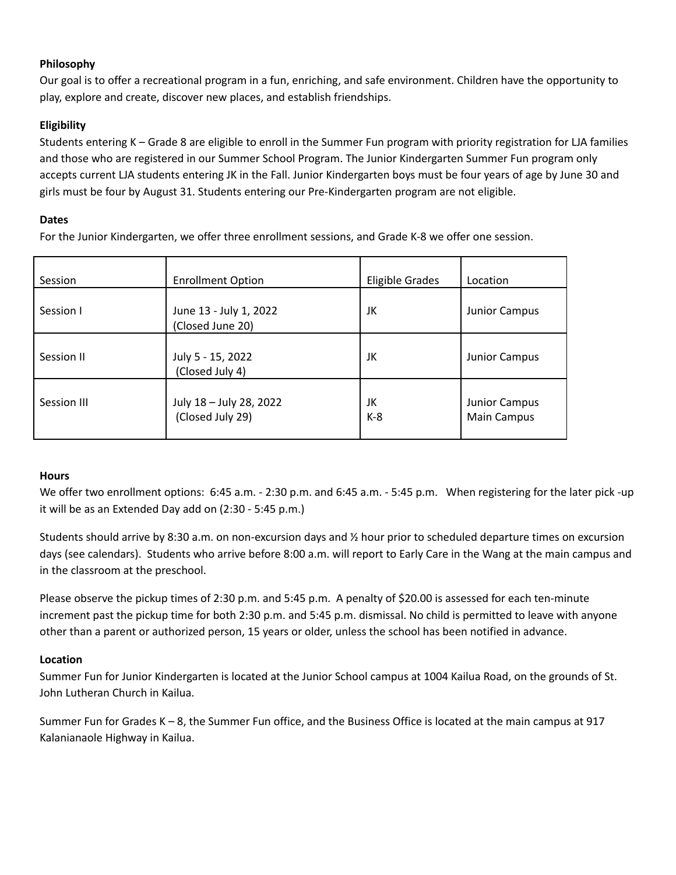# **Philosophy**

Our goal is to offer a recreational program in a fun, enriching, and safe environment. Children have the opportunity to play, explore and create, discover new places, and establish friendships.

# **Eligibility**

Students entering K – Grade 8 are eligible to enroll in the Summer Fun program with priority registration for LJA families and those who are registered in our Summer School Program. The Junior Kindergarten Summer Fun program only accepts current LJA students entering JK in the Fall. Junior Kindergarten boys must be four years of age by June 30 and girls must be four by August 31. Students entering our Pre-Kindergarten program are not eligible.

# **Dates**

For the Junior Kindergarten, we offer three enrollment sessions, and Grade K-8 we offer one session.

| Session     | <b>Enrollment Option</b>                    | <b>Eligible Grades</b> | Location                     |
|-------------|---------------------------------------------|------------------------|------------------------------|
| Session I   | June 13 - July 1, 2022<br>(Closed June 20)  | JK                     | Junior Campus                |
| Session II  | July 5 - 15, 2022<br>(Closed July 4)        | JK                     | Junior Campus                |
| Session III | July 18 - July 28, 2022<br>(Closed July 29) | JK<br>$K-8$            | Junior Campus<br>Main Campus |

## **Hours**

We offer two enrollment options: 6:45 a.m. - 2:30 p.m. and 6:45 a.m. - 5:45 p.m. When registering for the later pick -up it will be as an Extended Day add on (2:30 - 5:45 p.m.)

Students should arrive by 8:30 a.m. on non-excursion days and ½ hour prior to scheduled departure times on excursion days (see calendars). Students who arrive before 8:00 a.m. will report to Early Care in the Wang at the main campus and in the classroom at the preschool.

Please observe the pickup times of 2:30 p.m. and 5:45 p.m. A penalty of \$20.00 is assessed for each ten-minute increment past the pickup time for both 2:30 p.m. and 5:45 p.m. dismissal. No child is permitted to leave with anyone other than a parent or authorized person, 15 years or older, unless the school has been notified in advance.

## **Location**

Summer Fun for Junior Kindergarten is located at the Junior School campus at 1004 Kailua Road, on the grounds of St. John Lutheran Church in Kailua.

Summer Fun for Grades K – 8, the Summer Fun office, and the Business Office is located at the main campus at 917 Kalanianaole Highway in Kailua.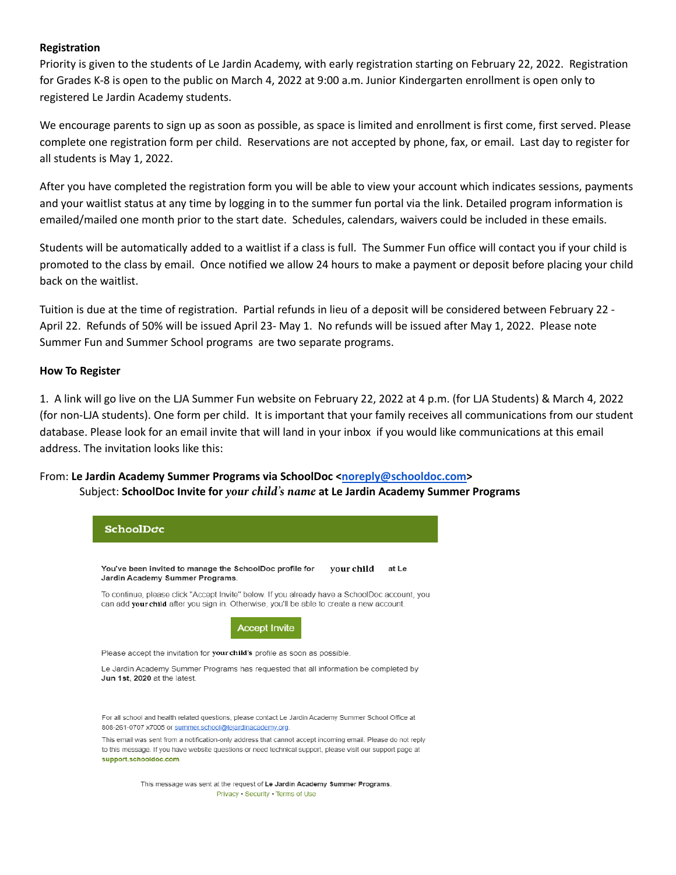#### **Registration**

Priority is given to the students of Le Jardin Academy, with early registration starting on February 22, 2022. Registration for Grades K-8 is open to the public on March 4, 2022 at 9:00 a.m. Junior Kindergarten enrollment is open only to registered Le Jardin Academy students.

We encourage parents to sign up as soon as possible, as space is limited and enrollment is first come, first served. Please complete one registration form per child. Reservations are not accepted by phone, fax, or email. Last day to register for all students is May 1, 2022.

After you have completed the registration form you will be able to view your account which indicates sessions, payments and your waitlist status at any time by logging in to the summer fun portal via the link. Detailed program information is emailed/mailed one month prior to the start date. Schedules, calendars, waivers could be included in these emails.

Students will be automatically added to a waitlist if a class is full. The Summer Fun office will contact you if your child is promoted to the class by email. Once notified we allow 24 hours to make a payment or deposit before placing your child back on the waitlist.

Tuition is due at the time of registration. Partial refunds in lieu of a deposit will be considered between February 22 - April 22. Refunds of 50% will be issued April 23- May 1. No refunds will be issued after May 1, 2022. Please note Summer Fun and Summer School programs are two separate programs.

#### **How To Register**

1. A link will go live on the LJA Summer Fun website on February 22, 2022 at 4 p.m. (for LJA Students) & March 4, 2022 (for non-LJA students). One form per child. It is important that your family receives all communications from our student database. Please look for an email invite that will land in your inbox if you would like communications at this email address. The invitation looks like this:

## From: **Le Jardin Academy Summer Programs via SchoolDoc <[noreply@schooldoc.com>](mailto:noreply@schooldoc.com)** Subject: **SchoolDoc Invite for** *your child's name* **at Le Jardin Academy Summer Programs**

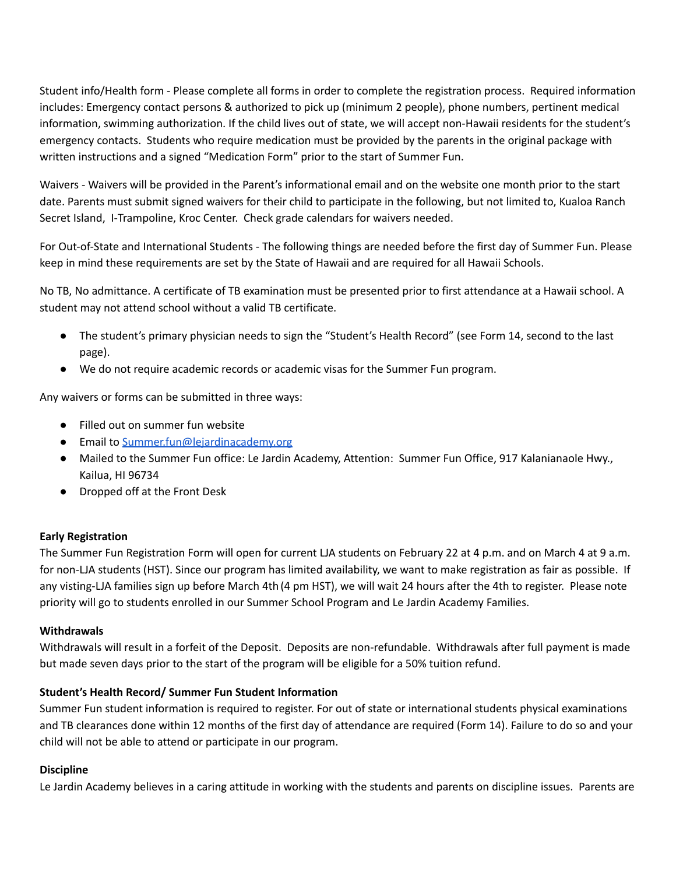Student info/Health form - Please complete all forms in order to complete the registration process. Required information includes: Emergency contact persons & authorized to pick up (minimum 2 people), phone numbers, pertinent medical information, swimming authorization. If the child lives out of state, we will accept non-Hawaii residents for the student's emergency contacts. Students who require medication must be provided by the parents in the original package with written instructions and a signed "Medication Form" prior to the start of Summer Fun.

Waivers - Waivers will be provided in the Parent's informational email and on the website one month prior to the start date. Parents must submit signed waivers for their child to participate in the following, but not limited to, Kualoa Ranch Secret Island, I-Trampoline, Kroc Center. Check grade calendars for waivers needed.

For Out-of-State and International Students - The following things are needed before the first day of Summer Fun. Please keep in mind these requirements are set by the State of Hawaii and are required for all Hawaii Schools.

No TB, No admittance. A certificate of TB examination must be presented prior to first attendance at a Hawaii school. A student may not attend school without a valid TB certificate.

- The student's primary physician needs to sign the "Student's Health Record" (see Form 14, second to the last page).
- We do not require academic records or academic visas for the Summer Fun program.

Any waivers or forms can be submitted in three ways:

- Filled out on summer fun website
- Email to [Summer.fun@lejardinacademy.org](mailto:Summer.fun@lejardinacademy.org)
- Mailed to the Summer Fun office: Le Jardin Academy, Attention: Summer Fun Office, 917 Kalanianaole Hwy., Kailua, HI 96734
- Dropped off at the Front Desk

## **Early Registration**

The Summer Fun Registration Form will open for current LJA students on February 22 at 4 p.m. and on March 4 at 9 a.m. for non-LJA students (HST). Since our program has limited availability, we want to make registration as fair as possible. If any visting-LJA families sign up before March 4th (4 pm HST), we will wait 24 hours after the 4th to register. Please note priority will go to students enrolled in our Summer School Program and Le Jardin Academy Families.

## **Withdrawals**

Withdrawals will result in a forfeit of the Deposit. Deposits are non-refundable. Withdrawals after full payment is made but made seven days prior to the start of the program will be eligible for a 50% tuition refund.

## **Student's Health Record/ Summer Fun Student Information**

Summer Fun student information is required to register. For out of state or international students physical examinations and TB clearances done within 12 months of the first day of attendance are required (Form 14). Failure to do so and your child will not be able to attend or participate in our program.

## **Discipline**

Le Jardin Academy believes in a caring attitude in working with the students and parents on discipline issues. Parents are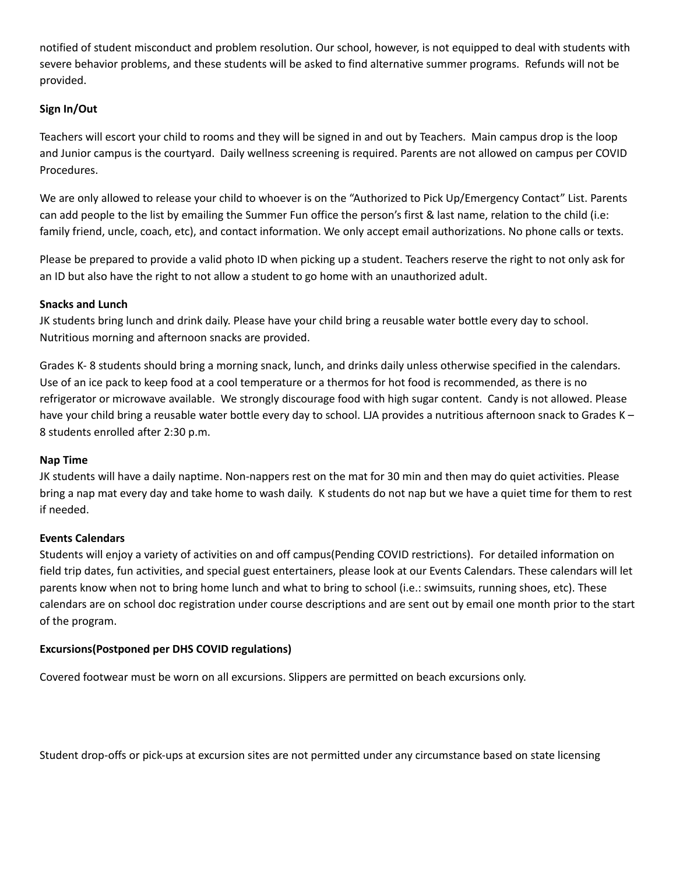notified of student misconduct and problem resolution. Our school, however, is not equipped to deal with students with severe behavior problems, and these students will be asked to find alternative summer programs. Refunds will not be provided.

# **Sign In/Out**

Teachers will escort your child to rooms and they will be signed in and out by Teachers. Main campus drop is the loop and Junior campus is the courtyard. Daily wellness screening is required. Parents are not allowed on campus per COVID Procedures.

We are only allowed to release your child to whoever is on the "Authorized to Pick Up/Emergency Contact" List. Parents can add people to the list by emailing the Summer Fun office the person's first & last name, relation to the child (i.e: family friend, uncle, coach, etc), and contact information. We only accept email authorizations. No phone calls or texts.

Please be prepared to provide a valid photo ID when picking up a student. Teachers reserve the right to not only ask for an ID but also have the right to not allow a student to go home with an unauthorized adult.

## **Snacks and Lunch**

JK students bring lunch and drink daily. Please have your child bring a reusable water bottle every day to school. Nutritious morning and afternoon snacks are provided.

Grades K- 8 students should bring a morning snack, lunch, and drinks daily unless otherwise specified in the calendars. Use of an ice pack to keep food at a cool temperature or a thermos for hot food is recommended, as there is no refrigerator or microwave available. We strongly discourage food with high sugar content. Candy is not allowed. Please have your child bring a reusable water bottle every day to school. LJA provides a nutritious afternoon snack to Grades K – 8 students enrolled after 2:30 p.m.

#### **Nap Time**

JK students will have a daily naptime. Non-nappers rest on the mat for 30 min and then may do quiet activities. Please bring a nap mat every day and take home to wash daily. K students do not nap but we have a quiet time for them to rest if needed.

## **Events Calendars**

Students will enjoy a variety of activities on and off campus(Pending COVID restrictions). For detailed information on field trip dates, fun activities, and special guest entertainers, please look at our Events Calendars. These calendars will let parents know when not to bring home lunch and what to bring to school (i.e.: swimsuits, running shoes, etc). These calendars are on school doc registration under course descriptions and are sent out by email one month prior to the start of the program.

## **Excursions(Postponed per DHS COVID regulations)**

Covered footwear must be worn on all excursions. Slippers are permitted on beach excursions only.

Student drop-offs or pick-ups at excursion sites are not permitted under any circumstance based on state licensing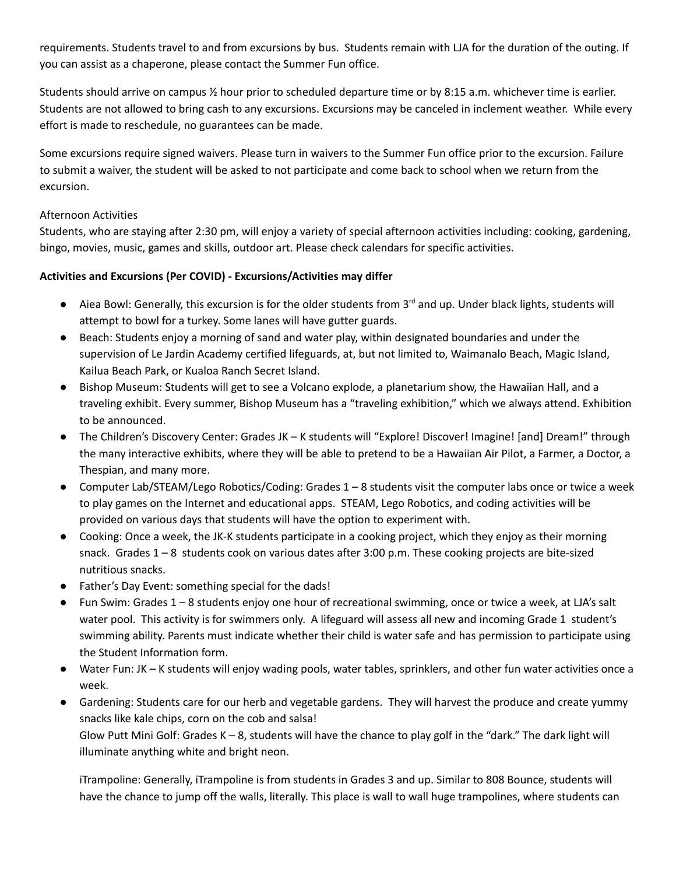requirements. Students travel to and from excursions by bus. Students remain with LJA for the duration of the outing. If you can assist as a chaperone, please contact the Summer Fun office.

Students should arrive on campus ½ hour prior to scheduled departure time or by 8:15 a.m. whichever time is earlier. Students are not allowed to bring cash to any excursions. Excursions may be canceled in inclement weather. While every effort is made to reschedule, no guarantees can be made.

Some excursions require signed waivers. Please turn in waivers to the Summer Fun office prior to the excursion. Failure to submit a waiver, the student will be asked to not participate and come back to school when we return from the excursion.

## Afternoon Activities

Students, who are staying after 2:30 pm, will enjoy a variety of special afternoon activities including: cooking, gardening, bingo, movies, music, games and skills, outdoor art. Please check calendars for specific activities.

# **Activities and Excursions (Per COVID) - Excursions/Activities may differ**

- Aiea Bowl: Generally, this excursion is for the older students from 3<sup>rd</sup> and up. Under black lights, students will attempt to bowl for a turkey. Some lanes will have gutter guards.
- Beach: Students enjoy a morning of sand and water play, within designated boundaries and under the supervision of Le Jardin Academy certified lifeguards, at, but not limited to, Waimanalo Beach, Magic Island, Kailua Beach Park, or Kualoa Ranch Secret Island.
- Bishop Museum: Students will get to see a Volcano explode, a planetarium show, the Hawaiian Hall, and a traveling exhibit. Every summer, Bishop Museum has a "traveling exhibition," which we always attend. Exhibition to be announced.
- The Children's Discovery Center: Grades JK K students will "Explore! Discover! Imagine! [and] Dream!" through the many interactive exhibits, where they will be able to pretend to be a Hawaiian Air Pilot, a Farmer, a Doctor, a Thespian, and many more.
- Computer Lab/STEAM/Lego Robotics/Coding: Grades 1 8 students visit the computer labs once or twice a week to play games on the Internet and educational apps. STEAM, Lego Robotics, and coding activities will be provided on various days that students will have the option to experiment with.
- Cooking: Once a week, the JK-K students participate in a cooking project, which they enjoy as their morning snack. Grades 1 – 8 students cook on various dates after 3:00 p.m. These cooking projects are bite-sized nutritious snacks.
- Father's Day Event: something special for the dads!
- Fun Swim: Grades 1 8 students enjoy one hour of recreational swimming, once or twice a week, at LJA's salt water pool. This activity is for swimmers only. A lifeguard will assess all new and incoming Grade 1 student's swimming ability. Parents must indicate whether their child is water safe and has permission to participate using the Student Information form.
- Water Fun: JK K students will enjoy wading pools, water tables, sprinklers, and other fun water activities once a week.
- Gardening: Students care for our herb and vegetable gardens. They will harvest the produce and create yummy snacks like kale chips, corn on the cob and salsa!

Glow Putt Mini Golf: Grades K – 8, students will have the chance to play golf in the "dark." The dark light will illuminate anything white and bright neon.

iTrampoline: Generally, iTrampoline is from students in Grades 3 and up. Similar to 808 Bounce, students will have the chance to jump off the walls, literally. This place is wall to wall huge trampolines, where students can